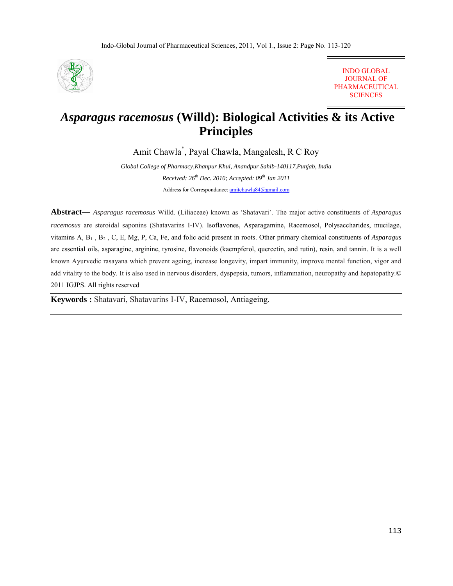

INDO GLOBAL JOURNAL OF PHARMACEUTICAL **SCIENCES** 

# *Asparagus racemosus* **(Willd): Biological Activities & its Active Principles**

Amit Chawla\* , Payal Chawla, Mangalesh, R C Roy

*Global College of Pharmacy,Khanpur Khui, Anandpur Sahib-140117,Punjab, India Received: 26<sup>th</sup> Dec. 2010; Accepted: 09<sup>th</sup> Jan 2011* Address for Correspondance: amitchawla84@gmail.com

**Abstract—** *Asparagus racemosus* Willd. (Liliaceae) known as 'Shatavari'. The major active constituents of *Asparagus racemosus* are steroidal saponins (Shatavarins I-IV). Isoflavones, Asparagamine, Racemosol, Polysaccharides, mucilage, vitamins A, B1 , B2 , C, E, Mg, P, Ca, Fe, and folic acid present in roots. Other primary chemical constituents of *Asparagus* are essential oils, asparagine, arginine, tyrosine, flavonoids (kaempferol, quercetin, and rutin), resin, and tannin. It is a well known Ayurvedic rasayana which prevent ageing, increase longevity, impart immunity, improve mental function, vigor and add vitality to the body. It is also used in nervous disorders, dyspepsia, tumors, inflammation, neuropathy and hepatopathy.© 2011 IGJPS. All rights reserved

**Keywords :** Shatavari, Shatavarins I-IV, Racemosol, Antiageing.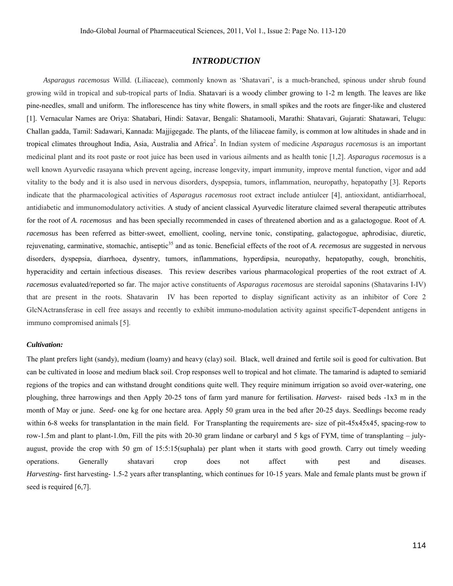# *INTRODUCTION*

 *Asparagus racemosus* Willd. (Liliaceae), commonly known as 'Shatavari', is a much-branched, spinous under shrub found growing wild in tropical and sub-tropical parts of India. Shatavari is a woody climber growing to 1-2 m length. The leaves are like pine-needles, small and uniform. The inflorescence has tiny white flowers, in small spikes and the roots are finger-like and clustered [1]. Vernacular Names are Oriya: Shatabari, Hindi: Satavar, Bengali: Shatamooli, Marathi: Shatavari, Gujarati: Shatawari, Telugu: Challan gadda, Tamil: Sadawari, Kannada: Majjigegade. The plants, of the liliaceae family, is common at low altitudes in shade and in tropical climates throughout India, Asia, Australia and Africa<sup>2</sup>. In Indian system of medicine *Asparagus racemosus* is an important medicinal plant and its root paste or root juice has been used in various ailments and as health tonic [1,2]. *Asparagus racemosus* is a well known Ayurvedic rasayana which prevent ageing, increase longevity, impart immunity, improve mental function, vigor and add vitality to the body and it is also used in nervous disorders, dyspepsia, tumors, inflammation, neuropathy, hepatopathy [3]. Reports indicate that the pharmacological activities of *Asparagus racemosus* root extract include antiulcer [4], antioxidant, antidiarrhoeal, antidiabetic and immunomodulatory activities. A study of ancient classical Ayurvedic literature claimed several therapeutic attributes for the root of *A. racemosus* and has been specially recommended in cases of threatened abortion and as a galactogogue. Root of *A. racemosus* has been referred as bitter-sweet, emollient, cooling, nervine tonic, constipating, galactogogue, aphrodisiac, diuretic, rejuvenating, carminative, stomachic, antiseptic<sup>35</sup> and as tonic. Beneficial effects of the root of *A. recemosus* are suggested in nervous disorders, dyspepsia, diarrhoea, dysentry, tumors, inflammations, hyperdipsia, neuropathy, hepatopathy, cough, bronchitis, hyperacidity and certain infectious diseases. This review describes various pharmacological properties of the root extract of *A. racemosus* evaluated/reported so far. The major active constituents of *Asparagus racemosus* are steroidal saponins (Shatavarins I-IV) that are present in the roots. Shatavarin IV has been reported to display significant activity as an inhibitor of Core 2 GlcNActransferase in cell free assays and recently to exhibit immuno-modulation activity against specificT-dependent antigens in immuno compromised animals [5].

#### *Cultivation:*

The plant prefers light (sandy), medium (loamy) and heavy (clay) soil. Black, well drained and fertile soil is good for cultivation. But can be cultivated in loose and medium black soil. Crop responses well to tropical and hot climate. The tamarind is adapted to semiarid regions of the tropics and can withstand drought conditions quite well. They require minimum irrigation so avoid over-watering, one ploughing, three harrowings and then Apply 20-25 tons of farm yard manure for fertilisation. *Harvest*- raised beds -1x3 m in the month of May or june. *Seed*- one kg for one hectare area. Apply 50 gram urea in the bed after 20-25 days. Seedlings become ready within 6-8 weeks for transplantation in the main field. For Transplanting the requirements are- size of pit-45x45x45, spacing-row to row-1.5m and plant to plant-1.0m, Fill the pits with 20-30 gram lindane or carbaryl and 5 kgs of FYM, time of transplanting – julyaugust, provide the crop with 50 gm of 15:5:15(suphala) per plant when it starts with good growth. Carry out timely weeding operations. Generally shatavari crop does not affect with pest and diseases. *Harvesting*- first harvesting- 1.5-2 years after transplanting, which continues for 10-15 years. Male and female plants must be grown if seed is required [6,7].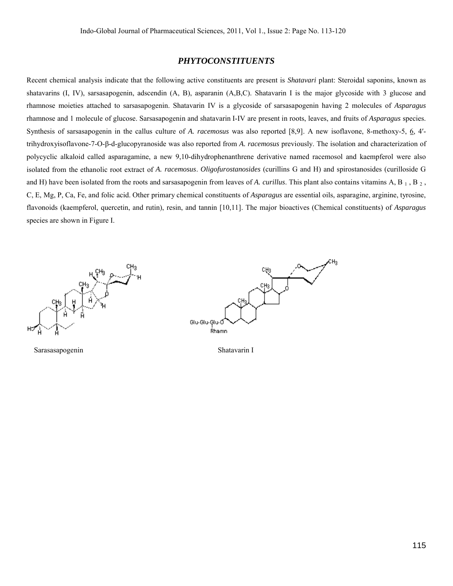# *PHYTOCONSTITUENTS*

Recent chemical analysis indicate that the following active constituents are present is *Shatavari* plant: Steroidal saponins, known as shatavarins (I, IV), sarsasapogenin, adscendin (A, B), asparanin (A,B,C). Shatavarin I is the major glycoside with 3 glucose and rhamnose moieties attached to sarsasapogenin. Shatavarin IV is a glycoside of sarsasapogenin having 2 molecules of *Asparagus* rhamnose and 1 molecule of glucose. Sarsasapogenin and shatavarin I-IV are present in roots, leaves, and fruits of *Asparagus* species. Synthesis of sarsasapogenin in the callus culture of *A. racemosus* was also reported [8,9]. A new isoflavone, 8-methoxy-5, 6, 4′ trihydroxyisoflavone-7-O-β-d-glucopyranoside was also reported from *A. racemosus* previously. The isolation and characterization of polycyclic alkaloid called asparagamine, a new 9,10-dihydrophenanthrene derivative named racemosol and kaempferol were also isolated from the ethanolic root extract of *A. racemosus*. *Oligofurostanosides* (curillins G and H) and spirostanosides (curilloside G and H) have been isolated from the roots and sarsasapogenin from leaves of *A. curillus*. This plant also contains vitamins A, B  $_1$ , B  $_2$ , C, E, Mg, P, Ca, Fe, and folic acid. Other primary chemical constituents of *Asparagus* are essential oils, asparagine, arginine, tyrosine, flavonoids (kaempferol, quercetin, and rutin), resin, and tannin [10,11]. The major bioactives (Chemical constituents) of *Asparagus* species are shown in Figure I.



Sarasasapogenin Shatavarin I

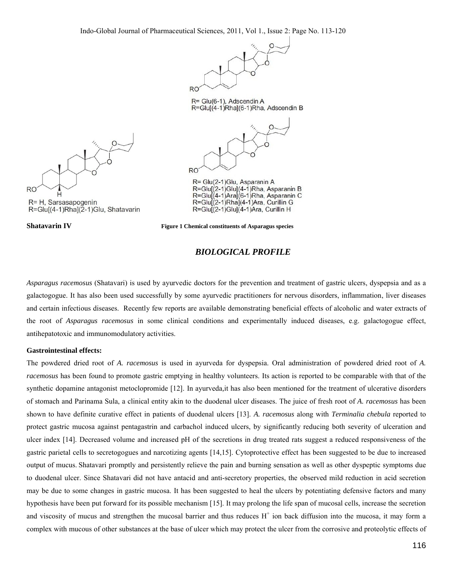Indo-Global Journal of Pharmaceutical Sciences, 2011, Vol 1., Issue 2: Page No. 113-120



R= Glu(6-1), Adscendin A R=Glu[(4-1)Rha](6-1)Rha, Adscendin B



R= Glu(2-1)Glu, Asparanin A R=Glu[(2-1)Glu](4-1)Rha, Asparanin B R=Glu[(4-1)Ara](6-1)Rha, Asparanin C R=Glu[(2-1)Rha](4-1)Ara, Curillin G R=Glu[(2-1)Glu](4-1)Ara, Curillin H



**Shatavarin IV Figure 1 Chemical constituents of Asparagus species** 

# *BIOLOGICAL PROFILE*

*Asparagus racemosus* (Shatavari) is used by ayurvedic doctors for the prevention and treatment of gastric ulcers, dyspepsia and as a galactogogue. It has also been used successfully by some ayurvedic practitioners for nervous disorders, inflammation, liver diseases and certain infectious diseases. Recently few reports are available demonstrating beneficial effects of alcoholic and water extracts of the root of *Asparagus racemosus* in some clinical conditions and experimentally induced diseases, e.g. galactogogue effect, antihepatotoxic and immunomodulatory activities.

## **Gastrointestinal effects:**

The powdered dried root of *A. racemosus* is used in ayurveda for dyspepsia. Oral administration of powdered dried root of *A. racemosus* has been found to promote gastric emptying in healthy volunteers. Its action is reported to be comparable with that of the synthetic dopamine antagonist metoclopromide [12]. In ayurveda*,*it has also been mentioned for the treatment of ulcerative disorders of stomach and Parinama Sula, a clinical entity akin to the duodenal ulcer diseases. The juice of fresh root of *A. racemosus* has been shown to have definite curative effect in patients of duodenal ulcers [13]. *A. racemosus* along with *Terminalia chebula* reported to protect gastric mucosa against pentagastrin and carbachol induced ulcers, by significantly reducing both severity of ulceration and ulcer index [14]. Decreased volume and increased pH of the secretions in drug treated rats suggest a reduced responsiveness of the gastric parietal cells to secretogogues and narcotizing agents [14,15]. Cytoprotective effect has been suggested to be due to increased output of mucus. Shatavari promptly and persistently relieve the pain and burning sensation as well as other dyspeptic symptoms due to duodenal ulcer. Since Shatavari did not have antacid and anti-secretory properties, the observed mild reduction in acid secretion may be due to some changes in gastric mucosa. It has been suggested to heal the ulcers by potentiating defensive factors and many hypothesis have been put forward for its possible mechanism [15]. It may prolong the life span of mucosal cells, increase the secretion and viscosity of mucus and strengthen the mucosal barrier and thus reduces  $H^+$  ion back diffusion into the mucosa, it may form a complex with mucous of other substances at the base of ulcer which may protect the ulcer from the corrosive and proteolytic effects of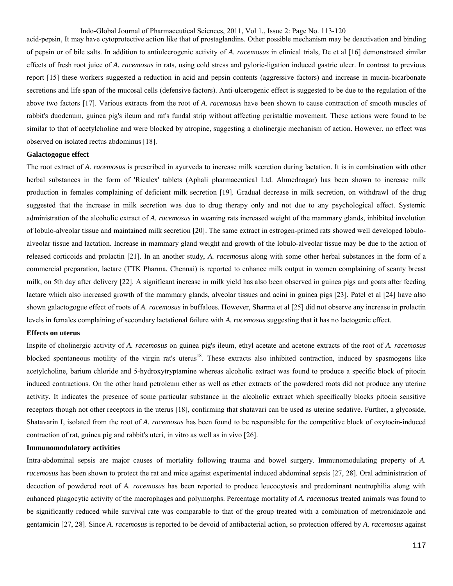Indo-Global Journal of Pharmaceutical Sciences, 2011, Vol 1., Issue 2: Page No. 113-120

acid-pepsin, It may have cytoprotective action like that of prostaglandins. Other possible mechanism may be deactivation and binding of pepsin or of bile salts. In addition to antiulcerogenic activity of *A. racemosus* in clinical trials, De et al [16] demonstrated similar effects of fresh root juice of *A. racemosus* in rats, using cold stress and pyloric-ligation induced gastric ulcer. In contrast to previous report [15] these workers suggested a reduction in acid and pepsin contents (aggressive factors) and increase in mucin-bicarbonate secretions and life span of the mucosal cells (defensive factors). Anti-ulcerogenic effect is suggested to be due to the regulation of the above two factors [17]. Various extracts from the root of *A. racemosus* have been shown to cause contraction of smooth muscles of rabbit's duodenum, guinea pig's ileum and rat's fundal strip without affecting peristaltic movement. These actions were found to be similar to that of acetylcholine and were blocked by atropine, suggesting a cholinergic mechanism of action. However, no effect was observed on isolated rectus abdominus [18].

## **Galactogogue effect**

The root extract of *A. racemosus* is prescribed in ayurveda to increase milk secretion during lactation. It is in combination with other herbal substances in the form of 'Ricalex' tablets (Aphali pharmaceutical Ltd. Ahmednagar) has been shown to increase milk production in females complaining of deficient milk secretion [19]. Gradual decrease in milk secretion, on withdrawl of the drug suggested that the increase in milk secretion was due to drug therapy only and not due to any psychological effect. Systemic administration of the alcoholic extract of *A. racemosus* in weaning rats increased weight of the mammary glands, inhibited involution of lobulo-alveolar tissue and maintained milk secretion [20]. The same extract in estrogen-primed rats showed well developed lobuloalveolar tissue and lactation. Increase in mammary gland weight and growth of the lobulo-alveolar tissue may be due to the action of released corticoids and prolactin [21]. In an another study, *A. racemosus* along with some other herbal substances in the form of a commercial preparation, lactare (TTK Pharma, Chennai) is reported to enhance milk output in women complaining of scanty breast milk, on 5th day after delivery [22]. A significant increase in milk yield has also been observed in guinea pigs and goats after feeding lactare which also increased growth of the mammary glands, alveolar tissues and acini in guinea pigs [23]. Patel et al [24] have also shown galactogogue effect of roots of *A. racemosus* in buffaloes. However, Sharma et al [25] did not observe any increase in prolactin levels in females complaining of secondary lactational failure with *A. racemosus* suggesting that it has no lactogenic effect.

## **Effects on uterus**

Inspite of cholinergic activity of *A. racemosus* on guinea pig's ileum, ethyl acetate and acetone extracts of the root of *A. racemosus* blocked spontaneous motility of the virgin rat's uterus<sup>18</sup>. These extracts also inhibited contraction, induced by spasmogens like acetylcholine, barium chloride and 5-hydroxytryptamine whereas alcoholic extract was found to produce a specific block of pitocin induced contractions. On the other hand petroleum ether as well as ether extracts of the powdered roots did not produce any uterine activity. It indicates the presence of some particular substance in the alcoholic extract which specifically blocks pitocin sensitive receptors though not other receptors in the uterus [18], confirming that shatavari can be used as uterine sedative. Further, a glycoside, Shatavarin I, isolated from the root of *A. racemosus* has been found to be responsible for the competitive block of oxytocin-induced contraction of rat, guinea pig and rabbit's uteri, in vitro as well as in vivo [26].

## **Immunomodulatory activities**

Intra-abdominal sepsis are major causes of mortality following trauma and bowel surgery. Immunomodulating property of *A. racemosus* has been shown to protect the rat and mice against experimental induced abdominal sepsis [27, 28]. Oral administration of decoction of powdered root of *A. racemosus* has been reported to produce leucocytosis and predominant neutrophilia along with enhanced phagocytic activity of the macrophages and polymorphs. Percentage mortality of *A. racemosus* treated animals was found to be significantly reduced while survival rate was comparable to that of the group treated with a combination of metronidazole and gentamicin [27, 28]. Since *A. racemosus* is reported to be devoid of antibacterial action, so protection offered by *A. racemosus* against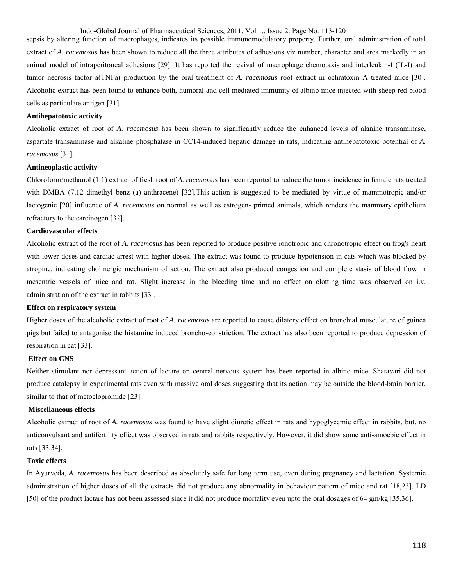Indo-Global Journal of Pharmaceutical Sciences, 2011, Vol 1., Issue 2: Page No. 113-120

sepsis by altering function of macrophages, indicates its possible immunomodulatory property. Further, oral administration of total extract of *A. racemosus* has been shown to reduce all the three attributes of adhesions viz number, character and area markedly in an animal model of intraperitoneal adhesions [29]. It has reported the revival of macrophage chemotaxis and interleukin-I (IL-I) and tumor necrosis factor a(TNFa) production by the oral treatment of *A. racemosus* root extract in ochratoxin A treated mice [30]. Alcoholic extract has been found to enhance both, humoral and cell mediated immunity of albino mice injected with sheep red blood cells as particulate antigen [31].

#### **Antihepatotoxic activity**

Alcoholic extract of root of *A. racemosus* has been shown to significantly reduce the enhanced levels of alanine transaminase, aspartate transaminase and alkaline phosphatase in CC14-induced hepatic damage in rats, indicating antihepatotoxic potential of *A. racemosus* [31].

#### **Antineoplastic activity**

Chloroform/methanol (1:1) extract of fresh root of *A. racemosus* has been reported to reduce the tumor incidence in female rats treated with DMBA (7,12 dimethyl benz (a) anthracene) [32]. This action is suggested to be mediated by virtue of mammotropic and/or lactogenic [20] influence of *A. racemosus* on normal as well as estrogen- primed animals, which renders the mammary epithelium refractory to the carcinogen [32].

## **Cardiovascular effects**

Alcoholic extract of the root of *A. racemosus* has been reported to produce positive ionotropic and chronotropic effect on frog's heart with lower doses and cardiac arrest with higher doses. The extract was found to produce hypotension in cats which was blocked by atropine, indicating cholinergic mechanism of action. The extract also produced congestion and complete stasis of blood flow in mesentric vessels of mice and rat. Slight increase in the bleeding time and no effect on clotting time was observed on i.v. administration of the extract in rabbits [33].

#### **Effect on respiratory system**

Higher doses of the alcoholic extract of root of *A. racemosus* are reported to cause dilatory effect on bronchial musculature of guinea pigs but failed to antagonise the histamine induced broncho-constriction. The extract has also been reported to produce depression of respiration in cat [33].

## **Effect on CNS**

Neither stimulant nor depressant action of lactare on central nervous system has been reported in albino mice. Shatavari did not produce catalepsy in experimental rats even with massive oral doses suggesting that its action may be outside the blood-brain barrier, similar to that of metoclopromide [23].

#### **Miscellaneous effects**

Alcoholic extract of root of *A. racemosus* was found to have slight diuretic effect in rats and hypoglycemic effect in rabbits, but, no anticonvulsant and antifertility effect was observed in rats and rabbits respectively. However, it did show some anti-amoebic effect in rats [33,34].

#### **Toxic effects**

In Ayurveda, *A. racemosus* has been described as absolutely safe for long term use, even during pregnancy and lactation. Systemic administration of higher doses of all the extracts did not produce any abnormality in behaviour pattern of mice and rat [18,23]. LD [50] of the product lactare has not been assessed since it did not produce mortality even upto the oral dosages of 64 gm/kg [35,36].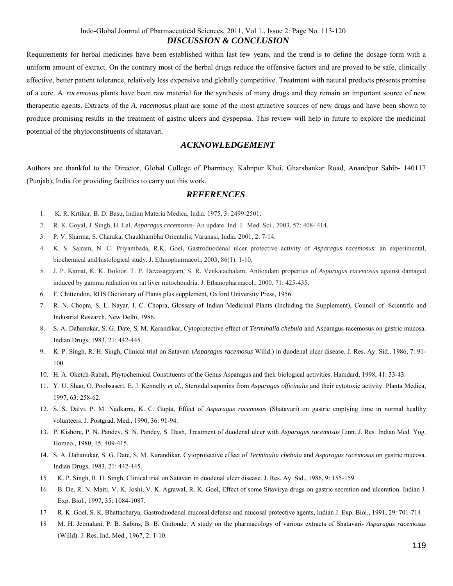Requirements for herbal medicines have been established within last few years, and the trend is to define the dosage form with a uniform amount of extract. On the contrary most of the herbal drugs reduce the offensive factors and are proved to be safe, clinically effective, better patient tolerance, relatively less expensive and globally competitive. Treatment with natural products presents promise of a cure. *A. racemosus* plants have been raw material for the synthesis of many drugs and they remain an important source of new therapeutic agents. Extracts of the *A. racemosus* plant are some of the most attractive sources of new drugs and have been shown to produce promising results in the treatment of gastric ulcers and dyspepsia. This review will help in future to explore the medicinal potential of the phytoconstituents of shatavari.

# *ACKNOWLEDGEMENT*

Authors are thankful to the Director, Global College of Pharmacy, Kahnpur Khui, Gharshankar Road, Anandpur Sahib- 140117 (Punjab), India for providing facilities to carry out this work.

# *REFERENCES*

- 1. K. R. Krtikar, B. D. Basu, Indian Materia Medica, India. 1975, 3: 2499-2501.
- 2. R. K. Goyal, J. Singh, H. Lal, *Asparagus racemosus* An update. Ind. J. Med. Sci., 2003, 57: 408- 414.
- 3. P. V. Sharma, S. Charaka, Chaukhambha Orientalis, Varanasi, India. 2001, 2: 7-14.
- 4. K. S. Sairam, N. C. Priyambada, R.K. Goel, Gastroduodenal ulcer protective activity of *Asparagus racemosus*: an experimental, biochemical and histological study. J. Ethnopharmacol., 2003, 86(1): 1-10.
- 5. J. P. Kamat, K. K. Boloor, T. P. Devasagayam, S. R. Venkatachalam, Antioxdant properties of *Asparagus racemosus* against damaged induced by gamma radiation on rat liver mitochondria. J. Ethanopharmacol., 2000, 71: 425-435.
- 6. F. Chittendon, RHS Dictionary of Plants plus supplement, Oxford University Press, 1956.
- 7. R. N. Chopra, S. L. Nayar, I. C. Chopra, Glossary of Indian Medicinal Plants (Including the Supplement), Council of Scientific and Industrial Research, New Delhi, 1986.
- 8. S. A. Dahanukar, S. G. Date, S. M. Karandikar, Cytoprotective effect of *Terminalia chebula* and Asparagus racemosus on gastric mucosa. Indian Drugs, 1983, 21: 442-445.
- 9. K. P. Singh, R. H. Singh, Clinical trial on Satavari (*Asparagus racemosus* Willd.) in duodenal ulcer disease. J. Res. Ay. Sid., 1986, 7: 91- 100.
- 10. H. A. Oketch-Rabah, Phytochemical Constituents of the Genus Asparagus and their biological activities. Hamdard, 1998, 41: 33-43.
- 11. Y. U. Shao, O. Poobsasert, E. J. Kennelly *et al.*, Steroidal saponins from *Asparagus officinalis* and their cytotoxic activity. Planta Medica, 1997, 63: 258-62.
- 12. S. S. Dalvi, P. M. Nadkarni, K. C. Gupta, Effect of *Asparagus racemosus* (Shatavari) on gastric emptying time in normal healthy volunteers. J. Postgrad. Med., 1990, 36: 91-94.
- 13. P. Kishore, P. N. Pandey, S. N. Pandey, S. Dash, Treatment of duodenal ulcer with *Asparagus racemosus* Linn. J. Res. Indian Med. Yog. Homeo., 1980, 15: 409-415.
- 14. S. A. Dahanukar, S. G. Date, S. M. Karandikar, Cytoprotective effect of *Terminalia chebula* and *Asparagus racemosus* on gastric mucosa. Indian Drugs, 1983, 21: 442-445.
- 15 K. P. Singh, R. H. Singh, Clinical trial on Satavari in duodenal ulcer disease. J. Res. Ay. Sid., 1986, 9: 155-159.
- 16 B. De, R. N. Maiti, V. K. Joshi, V. K. Agrawal, R. K. Goel, Effect of some Sitavirya drugs on gastric secretion and ulceration. Indian J. Exp. Biol., 1997, 35: 1084-1087.
- 17 R. K. Goel, S. K. Bhattacharya, Gastroduodenal mucosal defense and mucosal protective agents, Indian J. Exp. Biol., 1991, 29: 701-714
- 18 M. H. Jetmalani, P. B. Sabins, B. B. Gaitonde, A study on the pharmacology of various extracts of Shatavari- *Asparagus racemosus* (Willd). J. Res. Ind. Med., 1967, 2: 1-10.